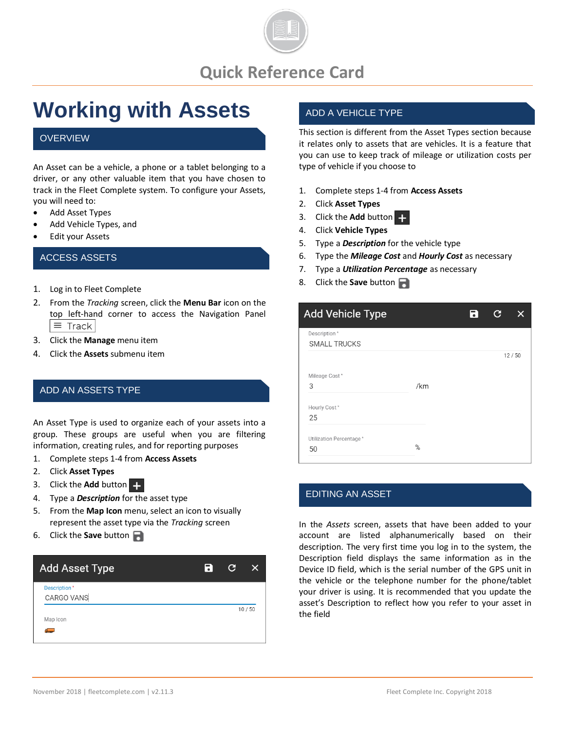

### **Quick Reference Card**

# **Working with Assets**

#### **OVERVIEW**

An Asset can be a vehicle, a phone or a tablet belonging to a driver, or any other valuable item that you have chosen to track in the Fleet Complete system. To configure your Assets, you will need to:

- Add Asset Types
- Add Vehicle Types, and
- **Edit your Assets**

#### ACCESS ASSETS

- 1. Log in to Fleet Complete
- 2. From the *Tracking* screen, click the **Menu Bar** icon on the top left-hand corner to access the Navigation Panel  $\equiv$  Track
- 3. Click the **Manage** menu item
- 4. Click the **Assets** submenu item

#### ADD AN ASSETS TYPE

An Asset Type is used to organize each of your assets into a group. These groups are useful when you are filtering information, creating rules, and for reporting purposes

- 1. Complete steps 1-4 from **Access Assets**
- 2. Click **Asset Types**
- 3. Click the **Add** button
- 4. Type a *Description* for the asset type
- 5. From the **Map Icon** menu, select an icon to visually represent the asset type via the *Tracking* screen
- 6. Click the **Save** button

| <b>Add Asset Type</b>      | Ы | G | X     |
|----------------------------|---|---|-------|
| Description*<br>CARGO VANS |   |   |       |
| Map Icon<br>3              |   |   | 10/50 |

#### ADD A VEHICLE TYPE

This section is different from the Asset Types section because it relates only to assets that are vehicles. It is a feature that you can use to keep track of mileage or utilization costs per type of vehicle if you choose to

- 1. Complete steps 1-4 from **Access Assets**
- 2. Click **Asset Types**
- 3. Click the **Add** button
- 4. Click **Vehicle Types**
- 5. Type a *Description* for the vehicle type
- 6. Type the *Mileage Cost* and *Hourly Cost* as necessary
- 7. Type a *Utilization Percentage* as necessary
- 8. Click the **Save** button

| <b>Add Vehicle Type</b>             |     | Ы | G |       |
|-------------------------------------|-----|---|---|-------|
| Description*<br><b>SMALL TRUCKS</b> |     |   |   |       |
|                                     |     |   |   | 12/50 |
| Mileage Cost*<br>3                  | /km |   |   |       |
| Hourly Cost*<br>25                  |     |   |   |       |
| Utilization Percentage*<br>50       | %   |   |   |       |

#### EDITING AN ASSET

In the *Assets* screen, assets that have been added to your account are listed alphanumerically based on their description. The very first time you log in to the system, the Description field displays the same information as in the Device ID field, which is the serial number of the GPS unit in the vehicle or the telephone number for the phone/tablet your driver is using. It is recommended that you update the asset's Description to reflect how you refer to your asset in the field